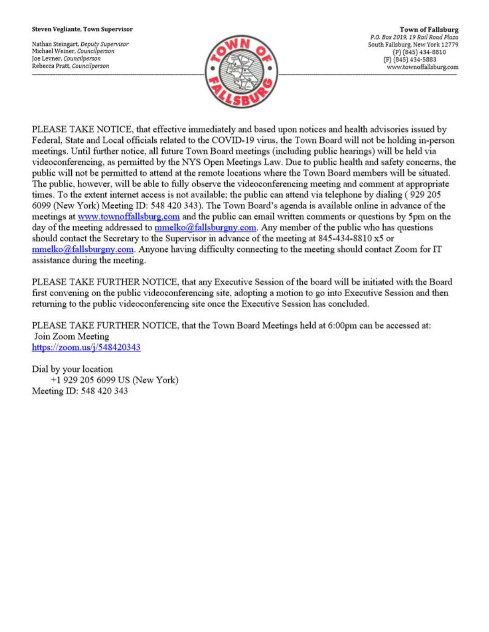## Steven Vegliante, Town Supervisor

Nathan Steingart, Deputy Supervisor Michael Weiner, Councilperson Joe Levner, Councilperson Rebecca Pratt, Councilperson



**Town of Fallsburg** P.O. Box 2019, 19 Rail Road Plaza South Fallsburg, New York 12779 (P) (845) 434-8810 (F) (845) 434-5883 www.townoffallsburg.com

PLEASE TAKE NOTICE, that effective immediately and based upon notices and health advisories issued by Federal, State and Local officials related to the COVID-19 virus, the Town Board will not be holding in-person meetings. Until further notice, all future Town Board meetings (including public hearings) will be held via videoconferencing, as permitted by the NYS Open Meetings Law. Due to public health and safety concerns, the public will not be permitted to attend at the remote locations where the Town Board members will be situated. The public, however, will be able to fully observe the videoconferencing meeting and comment at appropriate times. To the extent internet access is not available; the public can attend via telephone by dialing (929 205 6099 (New York) Meeting ID: 548 420 343). The Town Board's agenda is available online in advance of the meetings at www.townoffallsburg.com and the public can email written comments or questions by 5pm on the day of the meeting addressed to mmelko@fallsburgny.com. Any member of the public who has questions should contact the Secretary to the Supervisor in advance of the meeting at 845-434-8810 x5 or  $mmelko@fallsburgny.com$ . Anyone having difficulty connecting to the meeting should contact Zoom for IT assistance during the meeting.

PLEASE TAKE FURTHER NOTICE, that any Executive Session of the board will be initiated with the Board first convening on the public videoconferencing site, adopting a motion to go into Executive Session and then returning to the public videoconferencing site once the Executive Session has concluded.

PLEASE TAKE FURTHER NOTICE, that the Town Board Meetings held at 6:00pm can be accessed at: Join Zoom Meeting https://zoom.us/ $j/548420343$ 

Dial by your location +1 929 205 6099 US (New York) Meeting ID: 548 420 343